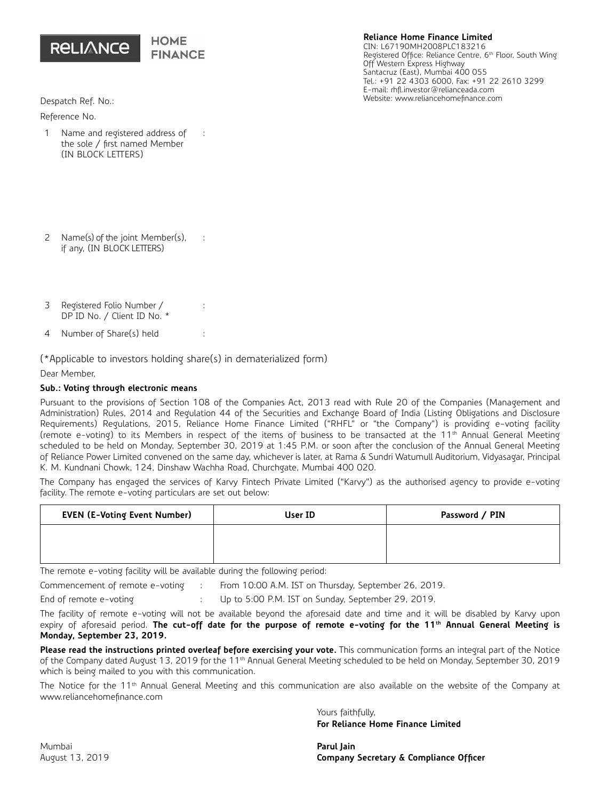

## **Reliance Home Finance Limited**

CIN: L67190MH2008PLC183216 Registered Office: Reliance Centre, 6<sup>th</sup> Floor, South Wing Off Western Express Highway Santacruz (East), Mumbai 400 055 Tel.: +91 22 4303 6000, Fax: +91 22 2610 3299 E-mail: rhfl.investor@relianceada.com Website: www.reliancehomefinance.com

Despatch Ref. No.:

Reference No.

- 1 Name and registered address of the sole / first named Member (IN BLOCK LETTERS) :
- 2 Name(s) of the joint Member(s), if any, (IN BLOCK LETTERS) :
- 3 Registered Folio Number / DP ID No. / Client ID No. \*
- 4 Number of Share(s) held :

 $(*$ Applicable to investors holding share(s) in dematerialized form)

:

Dear Member,

## **Sub.: Voting through electronic means**

Pursuant to the provisions of Section 108 of the Companies Act, 2013 read with Rule 20 of the Companies (Management and Administration) Rules, 2014 and Regulation 44 of the Securities and Exchange Board of India (Listing Obligations and Disclosure Requirements) Regulations, 2015, Reliance Home Finance Limited ("RHFL" or "the Company") is providing e-voting facility (remote e-voting) to its Members in respect of the items of business to be transacted at the 11<sup>th</sup> Annual General Meeting scheduled to be held on Monday, September 30, 2019 at 1:45 P.M. or soon after the conclusion of the Annual General Meeting of Reliance Power Limited convened on the same day, whichever is later, at Rama & Sundri Watumull Auditorium, Vidyasagar, Principal K. M. Kundnani Chowk, 124, Dinshaw Wachha Road, Churchgate, Mumbai 400 020.

The Company has engaged the services of Karvy Fintech Private Limited ("Karvy") as the authorised agency to provide e-voting facility. The remote e-voting particulars are set out below:

| <b>EVEN (E-Voting Event Number)</b> | User ID | Password / PIN |
|-------------------------------------|---------|----------------|
|                                     |         |                |
|                                     |         |                |

The remote e-voting facility will be available during the following period:

Commencement of remote e-voting : From 10:00 A.M. IST on Thursday, September 26, 2019.

End of remote e-voting : Up to 5:00 P.M. IST on Sunday, September 29, 2019.

The facility of remote e-voting will not be available beyond the aforesaid date and time and it will be disabled by Karvy upon expiry of aforesaid period. The cut-off date for the purpose of remote e-voting for the 11<sup>th</sup> Annual General Meeting is **Monday, September 23, 2019.**

**Please read the instructions printed overleaf before exercising your vote.** This communication forms an integral part of the Notice of the Company dated August 13, 2019 for the 11<sup>th</sup> Annual General Meeting scheduled to be held on Monday, September 30, 2019 which is being mailed to you with this communication.

The Notice for the 11<sup>th</sup> Annual General Meeting and this communication are also available on the website of the Company at www.reliancehomefinance.com

> Yours faithfully, **For Reliance Home Finance Limited**

August 13, 2019 **Company Secretary & Compliance Officer**

Mumbai **Parul Jain**